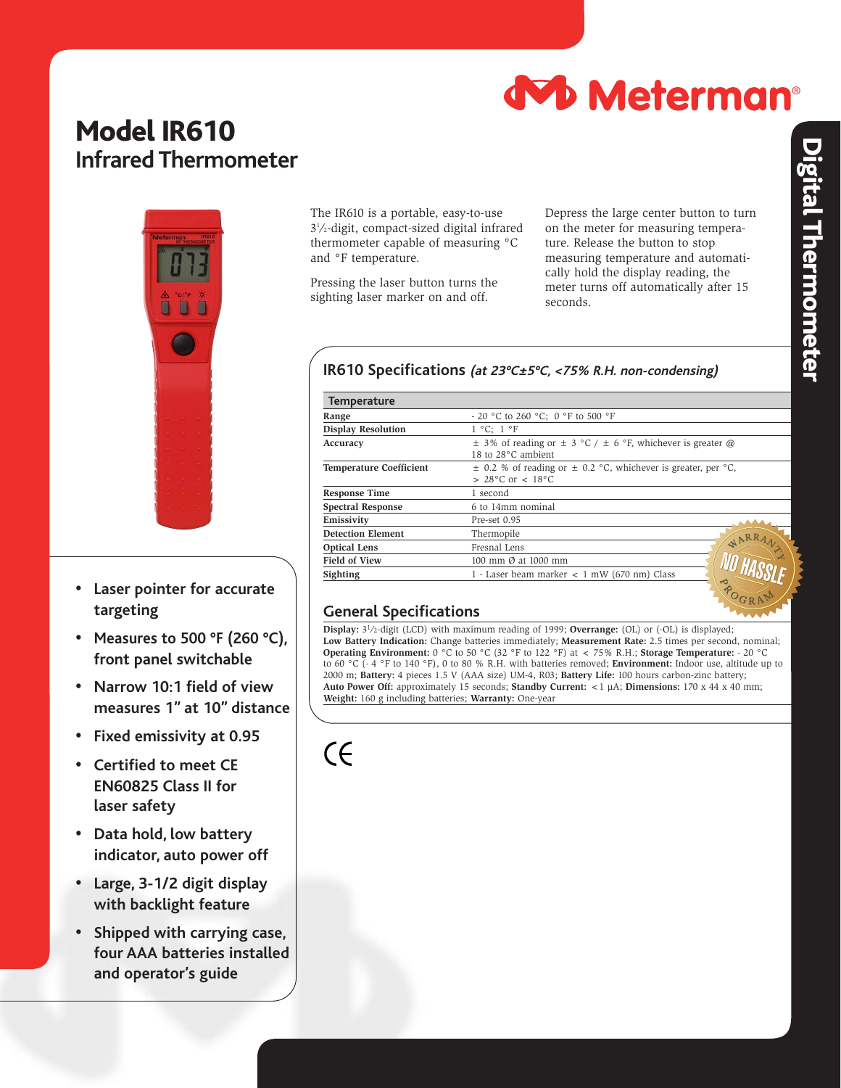

## Model IR610 **Infrared Thermometer**



- **• Laser pointer for accurate targeting**
- **• Measures to 500 °F (260 °C), front panel switchable**
- **• Narrow 10:1 field of view measures 1" at 10" distance**
- **• Fixed emissivity at 0.95**
- **• Certified to meet CE EN60825 Class II for laser safety**
- **• Data hold, low battery indicator, auto power off**
- **• Large, 3-1/2 digit display with backlight feature**
- **• Shipped with carrying case, four AAA batteries installed and operator's guide**

The IR610 is a portable, easy-to-use 31 ⁄2-digit, compact-sized digital infrared thermometer capable of measuring °C and °F temperature.

Pressing the laser button turns the sighting laser marker on and off.

Depress the large center button to turn on the meter for measuring temperature. Release the button to stop measuring temperature and automatically hold the display reading, the meter turns off automatically after 15 seconds.

## **IR610 Specifications (at 23°C±5°C, <75% R.H. non-condensing)**

| <b>Temperature</b>             |                                                                                                     |
|--------------------------------|-----------------------------------------------------------------------------------------------------|
| Range                          | - 20 °C to 260 °C; 0 °F to 500 °F                                                                   |
| <b>Display Resolution</b>      | $1 °C$ : $1 °F$                                                                                     |
| Accuracy                       | $\pm$ 3% of reading or $\pm$ 3 °C / $\pm$ 6 °F, whichever is greater @<br>18 to 28°C ambient        |
| <b>Temperature Coefficient</b> | $\pm$ 0.2 % of reading or $\pm$ 0.2 °C, whichever is greater, per °C,<br>$> 28^{\circ}$ C or < 18°C |
| <b>Response Time</b>           | 1 second                                                                                            |
| <b>Spectral Response</b>       | 6 to 14mm nominal                                                                                   |
| Emissivity                     | Pre-set 0.95                                                                                        |
| <b>Detection Element</b>       | Thermopile<br>WARR.                                                                                 |
| <b>Optical Lens</b>            | Fresnal Lens                                                                                        |
| <b>Field of View</b>           | 100 mm Ø at 1000 mm                                                                                 |
| Sighting                       | 1 - Laser beam marker $\langle$ 1 mW (670 nm) Class                                                 |

## **General Specifications**

**Display:** 31⁄2-digit (LCD) with maximum reading of 1999; **Overrange:** (OL) or (-OL) is displayed; **Low Battery Indication:** Change batteries immediately; **Measurement Rate:** 2.5 times per second, nominal; **Operating Environment:** 0 °C to 50 °C (32 °F to 122 °F) at < 75% R.H.; **Storage Temperature:** - 20 °C to 60 °C (- 4 °F to 140 °F), 0 to 80 % R.H. with batteries removed; **Environment:** Indoor use, altitude up to 2000 m; **Battery:** 4 pieces 1.5 V (AAA size) UM-4, R03; **Battery Life:** 100 hours carbon-zinc battery; **Auto Power Off:** approximately 15 seconds; **Standby Current:** <1 µA; **Dimensions:** 170 x 44 x 40 mm; **Weight:** 160 g including batteries; **Warranty:** One-year

 $\zeta$ 

OGRAM